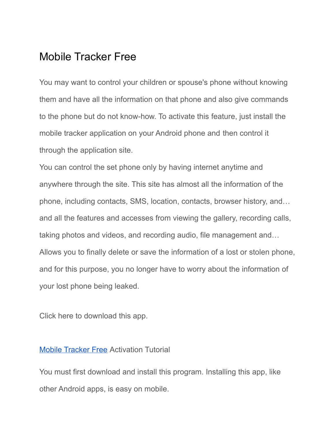### Mobile Tracker Free

You may want to control your children or spouse's phone without knowing them and have all the information on that phone and also give commands to the phone but do not know-how. To activate this feature, just install the mobile tracker application on your Android phone and then control it through the application site.

You can control the set phone only by having internet anytime and anywhere through the site. This site has almost all the information of the phone, including contacts, SMS, location, contacts, browser history, and… and all the features and accesses from viewing the gallery, recording calls, taking photos and videos, and recording audio, file management and… Allows you to finally delete or save the information of a lost or stolen phone, and for this purpose, you no longer have to worry about the information of your lost phone being leaked.

Click here to download this app.

#### Mobile [Tracker](https://spy24.app/mobile-tracker-free) Free Activation Tutorial

You must first download and install this program. Installing this app, like other Android apps, is easy on mobile.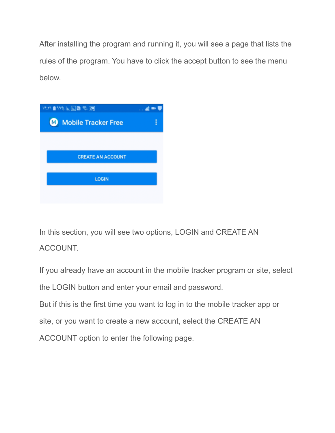After installing the program and running it, you will see a page that lists the rules of the program. You have to click the accept button to see the menu below.



In this section, you will see two options, LOGIN and CREATE AN ACCOUNT.

If you already have an account in the mobile tracker program or site, select the LOGIN button and enter your email and password. But if this is the first time you want to log in to the mobile tracker app or site, or you want to create a new account, select the CREATE AN ACCOUNT option to enter the following page.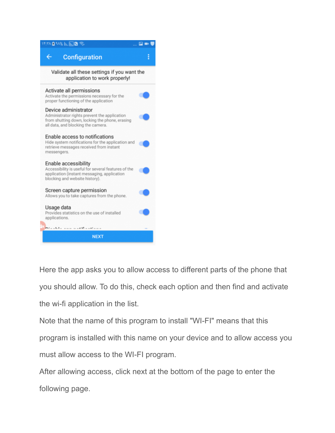| <b>IF:YA @ 9A%     ,    ,   @ @</b>                                                                                                                          |  |
|--------------------------------------------------------------------------------------------------------------------------------------------------------------|--|
| <b>Configuration</b>                                                                                                                                         |  |
| Validate all these settings if you want the<br>application to work properly!                                                                                 |  |
| Activate all permissions<br>Activate the permissions necessary for the<br>proper functioning of the application                                              |  |
| Device administrator<br>Administrator rights prevent the application<br>from shutting down, locking the phone, erasing<br>all data, and blocking the camera. |  |
| Enable access to notifications<br>Hide system notifications for the application and<br>retrieve messages received from instant<br>messengers.                |  |
| Enable accessibility<br>Accessibility is useful for several features of the<br>application (instant messaging, application<br>blocking and website history). |  |
| Screen capture permission<br>Allows you to take captures from the phone.                                                                                     |  |
| Usage data<br>Provides statistics on the use of installed<br>applications.                                                                                   |  |
| $-111 -$                                                                                                                                                     |  |
| <b>NEXT</b>                                                                                                                                                  |  |

Here the app asks you to allow access to different parts of the phone that you should allow. To do this, check each option and then find and activate the wi-fi application in the list.

Note that the name of this program to install "WI-FI" means that this program is installed with this name on your device and to allow access you must allow access to the WI-FI program.

After allowing access, click next at the bottom of the page to enter the following page.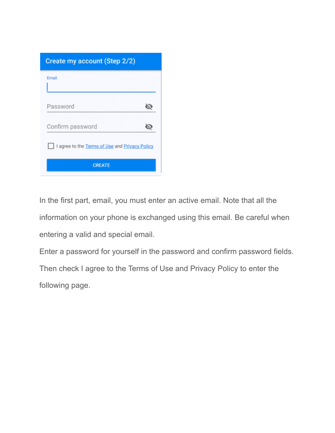| Create my account (Step 2/2)                   |  |
|------------------------------------------------|--|
| Email                                          |  |
| Password                                       |  |
| Confirm password                               |  |
| I agree to the Terms of Use and Privacy Policy |  |
| <b>CREATE</b>                                  |  |

In the first part, email, you must enter an active email. Note that all the information on your phone is exchanged using this email. Be careful when entering a valid and special email.

Enter a password for yourself in the password and confirm password fields. Then check I agree to the Terms of Use and Privacy Policy to enter the following page.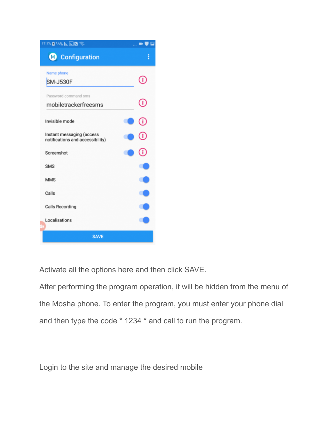| <b>\f:YAQ%% h. h. B</b>                                       |   |  |  |  |  |
|---------------------------------------------------------------|---|--|--|--|--|
| Configuration                                                 | i |  |  |  |  |
| Name phone                                                    |   |  |  |  |  |
| SM-J530F                                                      |   |  |  |  |  |
| Password command sms                                          |   |  |  |  |  |
| mobiletrackerfreesms                                          | Û |  |  |  |  |
| Invisible mode                                                |   |  |  |  |  |
|                                                               |   |  |  |  |  |
| Instant messaging (access<br>notifications and accessibility) |   |  |  |  |  |
| Screenshot                                                    |   |  |  |  |  |
| <b>SMS</b>                                                    |   |  |  |  |  |
| <b>MMS</b>                                                    |   |  |  |  |  |
| Calls                                                         |   |  |  |  |  |
| <b>Calls Recording</b>                                        |   |  |  |  |  |
| Localisations                                                 |   |  |  |  |  |
| <b>SAVE</b>                                                   |   |  |  |  |  |

Activate all the options here and then click SAVE.

After performing the program operation, it will be hidden from the menu of the Mosha phone. To enter the program, you must enter your phone dial and then type the code \* 1234 \* and call to run the program.

Login to the site and manage the desired mobile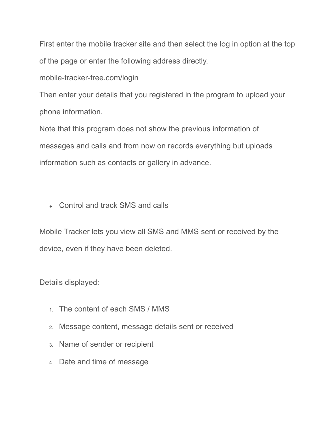First enter the mobile tracker site and then select the log in option at the top of the page or enter the following address directly.

mobile-tracker-free.com/login

Then enter your details that you registered in the program to upload your phone information.

Note that this program does not show the previous information of messages and calls and from now on records everything but uploads information such as contacts or gallery in advance.

• Control and track SMS and calls

Mobile Tracker lets you view all SMS and MMS sent or received by the device, even if they have been deleted.

Details displayed:

- 1. The content of each SMS / MMS
- 2. Message content, message details sent or received
- 3. Name of sender or recipient
- 4. Date and time of message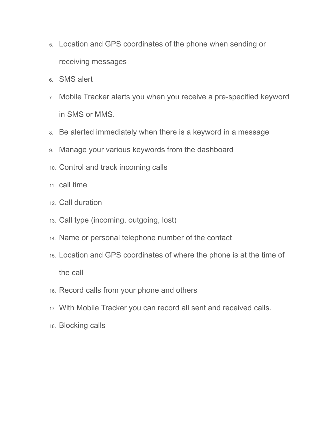- 5. Location and GPS coordinates of the phone when sending or receiving messages
- 6. SMS alert
- 7. Mobile Tracker alerts you when you receive a pre-specified keyword in SMS or MMS.
- 8. Be alerted immediately when there is a keyword in a message
- 9. Manage your various keywords from the dashboard
- 10. Control and track incoming calls
- 11. call time
- 12. Call duration
- 13. Call type (incoming, outgoing, lost)
- 14. Name or personal telephone number of the contact
- 15. Location and GPS coordinates of where the phone is at the time of the call
- 16. Record calls from your phone and others
- 17. With Mobile Tracker you can record all sent and received calls.
- 18. Blocking calls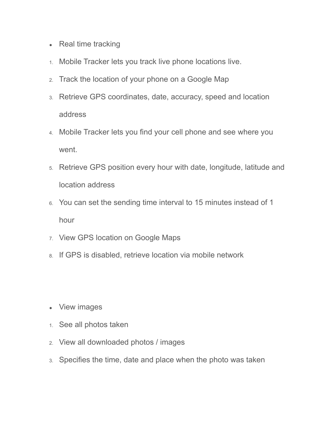- Real time tracking
- 1. Mobile Tracker lets you track live phone locations live.
- 2. Track the location of your phone on a Google Map
- 3. Retrieve GPS coordinates, date, accuracy, speed and location address
- 4. Mobile Tracker lets you find your cell phone and see where you went.
- 5. Retrieve GPS position every hour with date, longitude, latitude and location address
- 6. You can set the sending time interval to 15 minutes instead of 1 hour
- 7. View GPS location on Google Maps
- 8. If GPS is disabled, retrieve location via mobile network
- View images
- 1. See all photos taken
- 2. View all downloaded photos / images
- 3. Specifies the time, date and place when the photo was taken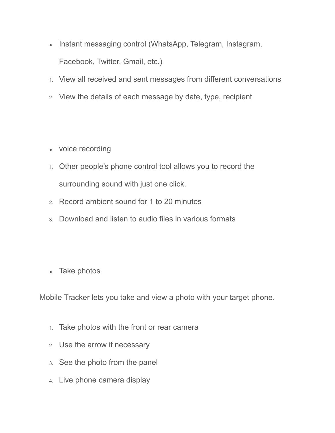- Instant messaging control (WhatsApp, Telegram, Instagram, Facebook, Twitter, Gmail, etc.)
- 1. View all received and sent messages from different conversations
- 2. View the details of each message by date, type, recipient
- voice recording
- 1. Other people's phone control tool allows you to record the surrounding sound with just one click.
- 2. Record ambient sound for 1 to 20 minutes
- 3. Download and listen to audio files in various formats
- Take photos

Mobile Tracker lets you take and view a photo with your target phone.

- 1. Take photos with the front or rear camera
- 2. Use the arrow if necessary
- 3. See the photo from the panel
- 4. Live phone camera display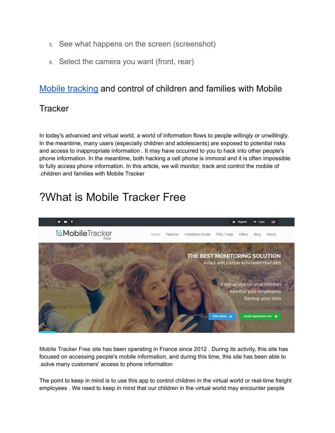- 5. See what happens on the screen (screenshot)
- 6. Select the camera you want (front, rear)

#### Mobile [tracking](https://spy24.app/mobile-tracker-free) and control of children and families with Mobile

#### **Tracker**

In today's advanced and virtual world, a world of information flows to people willingly or unwillingly*.* In the meantime, many users (especially children and adolescents) are exposed to potential risks and access to inappropriate information *.* It may have occurred to you to hack into other people's phone information. In the meantime, both hacking a cell phone is immoral and it is often impossible to fully access phone information. In this article, we will monitor, track and control the mobile of .children and families with Mobile Tracker

# ?What is Mobile Tracker Free



Mobile Tracker Free site has been operating in France since 2012 *.* During its activity, this site has focused on accessing people's mobile information, and during this time, this site has been able to .solve many customers' access to phone information

The point to keep in mind is to use this app to control children in the virtual world or real-time freight employees *.* We need to keep in mind that our children in the virtual world may encounter people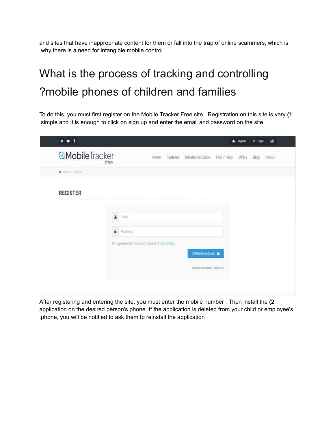and sites that have inappropriate content for them or fall into the trap of online scammers, which is .why there is a need for intangible mobile control

# What is the process of tracking and controlling ?mobile phones of children and families

To do this, you must first register on the Mobile Tracker Free site *.* Registration on this site is very **)1** .simple and it is enough to click on sign up and enter the email and password on the site

|                      |                                                 |      |                                        | ۵. | Register | +0 Login | 書     |
|----------------------|-------------------------------------------------|------|----------------------------------------|----|----------|----------|-------|
| <b>MobileTracker</b> | free                                            | Home | Features Installation Guide FAQ / Help |    | Offers   | Blog     | About |
| # Home > Register    |                                                 |      |                                        |    |          |          |       |
| <b>REGISTER</b>      |                                                 |      |                                        |    |          |          |       |
|                      | å<br>Email                                      |      |                                        |    |          |          |       |
|                      | ₿<br>Password                                   |      |                                        |    |          |          |       |
|                      | I agree to the Terms of Use and Privacy Policy. |      |                                        |    |          |          |       |
|                      |                                                 |      | Create my account &                    |    |          |          |       |
|                      |                                                 |      | Already a member? Login here           |    |          |          |       |

After registering and entering the site, you must enter the mobile number *.* Then install the **)2** application on the desired person's phone. If the application is deleted from your child or employee's .phone, you will be notified to ask them to reinstall the application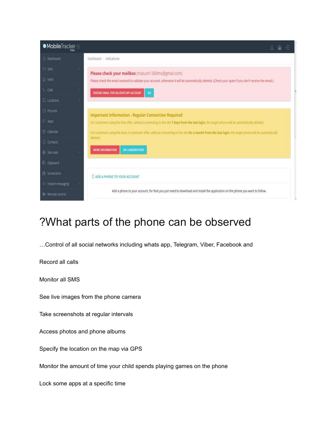| $\bullet$ MobileTracker $\equiv$ | 싑<br>Ω<br>읍                                                                                                                                             |
|----------------------------------|---------------------------------------------------------------------------------------------------------------------------------------------------------|
| a Dashboard                      | Dashboard - Add phone                                                                                                                                   |
| <b>⊠</b> SMS                     | Please check your mailbox (masumi1369mo@gmail.com)                                                                                                      |
| <b>MMS</b>                       | Please check the email received to validate your account, otherwise it will be automatically deleted. (Check your spam if you don't receive the email.) |
| <sup>L</sup> Calls               | RESEND EMAIL FOR VALIDATE MY ACCOUNT<br>ox                                                                                                              |
| <b>III</b> Locations             |                                                                                                                                                         |
| <b>Pictures</b>                  | <b>Important Information - Regular Connection Required</b>                                                                                              |
| Apps                             | For customers using the free offer, without connecting to the site 7 days from the last login, the target phone will be automatically deleted.          |
| Calendar                         | For customers using the basic or premium offer, without connecting to the site for a month from the last login, the target phone will be automatically  |
| Contacts                         | deleted.                                                                                                                                                |
| Site Web                         | OK I UNDERSTOOD<br><b>MORE INFORMATION</b>                                                                                                              |
| Clipboard                        |                                                                                                                                                         |
| Screenshot                       | <b>LADD A PHONE TO YOUR ACCOUNT</b>                                                                                                                     |
| <sup>®</sup> Instant messaging   |                                                                                                                                                         |
| Remote control                   | Add a phone to your account, for that you just need to download and install the application on the phone you want to follow.                            |

## ?What parts of the phone can be observed

…Control of all social networks including whats app, Telegram, Viber, Facebook and

Record all calls

Monitor all SMS

See live images from the phone camera

Take screenshots at regular intervals

Access photos and phone albums

Specify the location on the map via GPS

Monitor the amount of time your child spends playing games on the phone

Lock some apps at a specific time